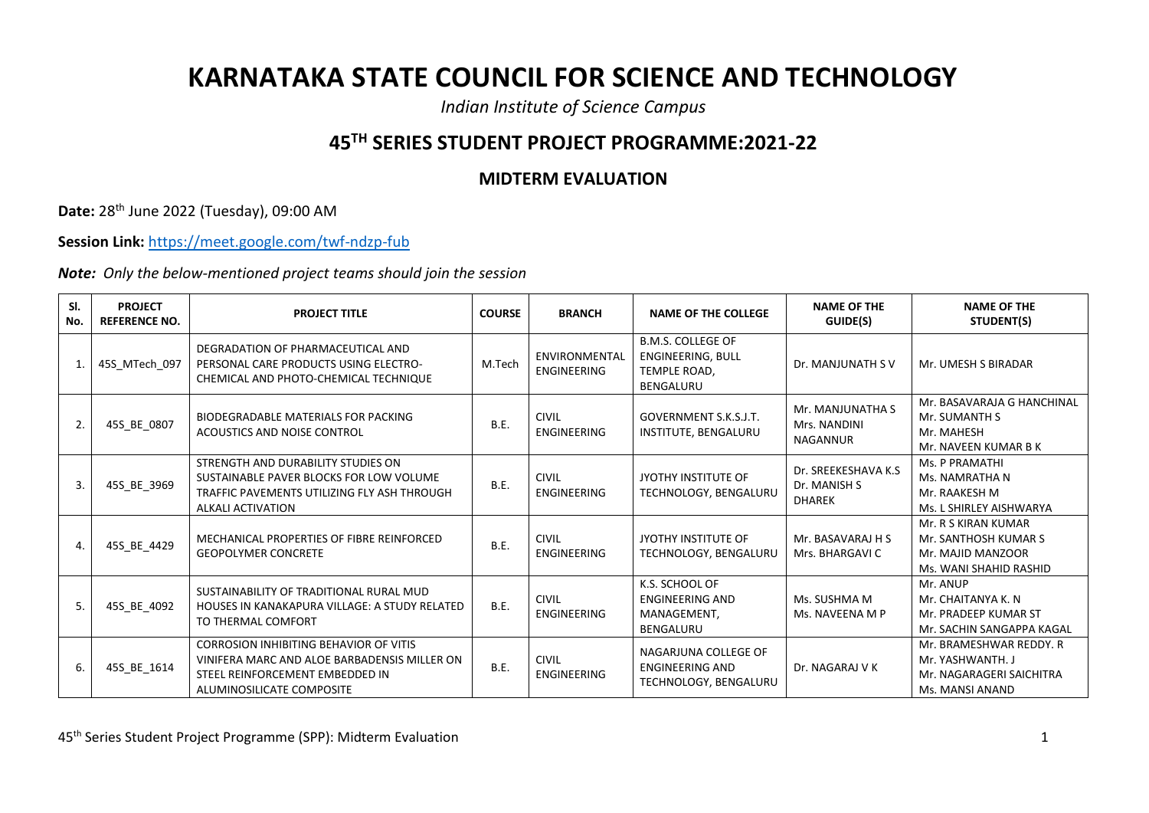## **KARNATAKA STATE COUNCIL FOR SCIENCE AND TECHNOLOGY**

*Indian Institute of Science Campus*

## **45TH SERIES STUDENT PROJECT PROGRAMME:2021-22**

## **MIDTERM EVALUATION**

**Date:** 28th June 2022 (Tuesday), 09:00 AM

**Session Link:** <https://meet.google.com/twf-ndzp-fub>

*Note: Only the below-mentioned project teams should join the session*

| SI.<br>No.     | <b>PROJECT</b><br><b>REFERENCE NO.</b> | <b>PROJECT TITLE</b>                                                                                                                                          | <b>COURSE</b> | <b>BRANCH</b>                       | <b>NAME OF THE COLLEGE</b>                                                        | <b>NAME OF THE</b><br>GUIDE(S)                       | <b>NAME OF THE</b><br>STUDENT(S)                                                           |
|----------------|----------------------------------------|---------------------------------------------------------------------------------------------------------------------------------------------------------------|---------------|-------------------------------------|-----------------------------------------------------------------------------------|------------------------------------------------------|--------------------------------------------------------------------------------------------|
|                | 45S_MTech_097                          | DEGRADATION OF PHARMACEUTICAL AND<br>PERSONAL CARE PRODUCTS USING ELECTRO-<br>CHEMICAL AND PHOTO-CHEMICAL TECHNIQUE                                           | M.Tech        | <b>ENVIRONMENTAL</b><br>ENGINEERING | <b>B.M.S. COLLEGE OF</b><br><b>ENGINEERING, BULL</b><br>TEMPLE ROAD,<br>BENGALURU | Dr. MANJUNATH SV                                     | Mr. UMESH S BIRADAR                                                                        |
| 2.             | 45S_BE_0807                            | BIODEGRADABLE MATERIALS FOR PACKING<br>ACOUSTICS AND NOISE CONTROL                                                                                            | <b>B.E.</b>   | <b>CIVIL</b><br><b>ENGINEERING</b>  | <b>GOVERNMENT S.K.S.J.T.</b><br>INSTITUTE, BENGALURU                              | Mr. MANJUNATHA S<br>Mrs. NANDINI<br>NAGANNUR         | Mr. BASAVARAJA G HANCHINAL<br>Mr. SUMANTH S<br>Mr. MAHESH<br>Mr. NAVEEN KUMAR B K          |
| $\mathbf{3}$   | 45S_BE_3969                            | STRENGTH AND DURABILITY STUDIES ON<br>SUSTAINABLE PAVER BLOCKS FOR LOW VOLUME<br>TRAFFIC PAVEMENTS UTILIZING FLY ASH THROUGH<br><b>ALKALI ACTIVATION</b>      | <b>B.E.</b>   | <b>CIVIL</b><br><b>ENGINEERING</b>  | JYOTHY INSTITUTE OF<br>TECHNOLOGY, BENGALURU                                      | Dr. SREEKESHAVA K.S<br>Dr. MANISH S<br><b>DHAREK</b> | Ms. P PRAMATHI<br>Ms. NAMRATHA N<br>Mr. RAAKESH M<br>Ms. L SHIRLEY AISHWARYA               |
| $\overline{4}$ | 45S_BE_4429                            | MECHANICAL PROPERTIES OF FIBRE REINFORCED<br><b>GEOPOLYMER CONCRETE</b>                                                                                       | <b>B.E.</b>   | <b>CIVIL</b><br><b>ENGINEERING</b>  | JYOTHY INSTITUTE OF<br>TECHNOLOGY, BENGALURU                                      | Mr. BASAVARAJ H S<br>Mrs. BHARGAVI C                 | Mr. R S KIRAN KUMAR<br>Mr. SANTHOSH KUMAR S<br>Mr. MAJID MANZOOR<br>Ms. WANI SHAHID RASHID |
| 5.             | 45S BE 4092                            | SUSTAINABILITY OF TRADITIONAL RURAL MUD<br>HOUSES IN KANAKAPURA VILLAGE: A STUDY RELATED<br>TO THERMAL COMFORT                                                | <b>B.E.</b>   | <b>CIVIL</b><br><b>ENGINEERING</b>  | K.S. SCHOOL OF<br><b>ENGINEERING AND</b><br>MANAGEMENT.<br><b>BENGALURU</b>       | Ms. SUSHMA M<br>Ms. NAVEENA M P                      | Mr. ANUP<br>Mr. CHAITANYA K. N<br>Mr. PRADEEP KUMAR ST<br>Mr. SACHIN SANGAPPA KAGAL        |
| 6.             | 45S BE 1614                            | <b>CORROSION INHIBITING BEHAVIOR OF VITIS</b><br>VINIFERA MARC AND ALOE BARBADENSIS MILLER ON<br>STEEL REINFORCEMENT EMBEDDED IN<br>ALUMINOSILICATE COMPOSITE | <b>B.E.</b>   | <b>CIVIL</b><br><b>ENGINEERING</b>  | NAGARJUNA COLLEGE OF<br><b>ENGINEERING AND</b><br>TECHNOLOGY, BENGALURU           | Dr. NAGARAJ V K                                      | Mr. BRAMESHWAR REDDY. R<br>Mr. YASHWANTH. J<br>Mr. NAGARAGERI SAICHITRA<br>Ms. MANSI ANAND |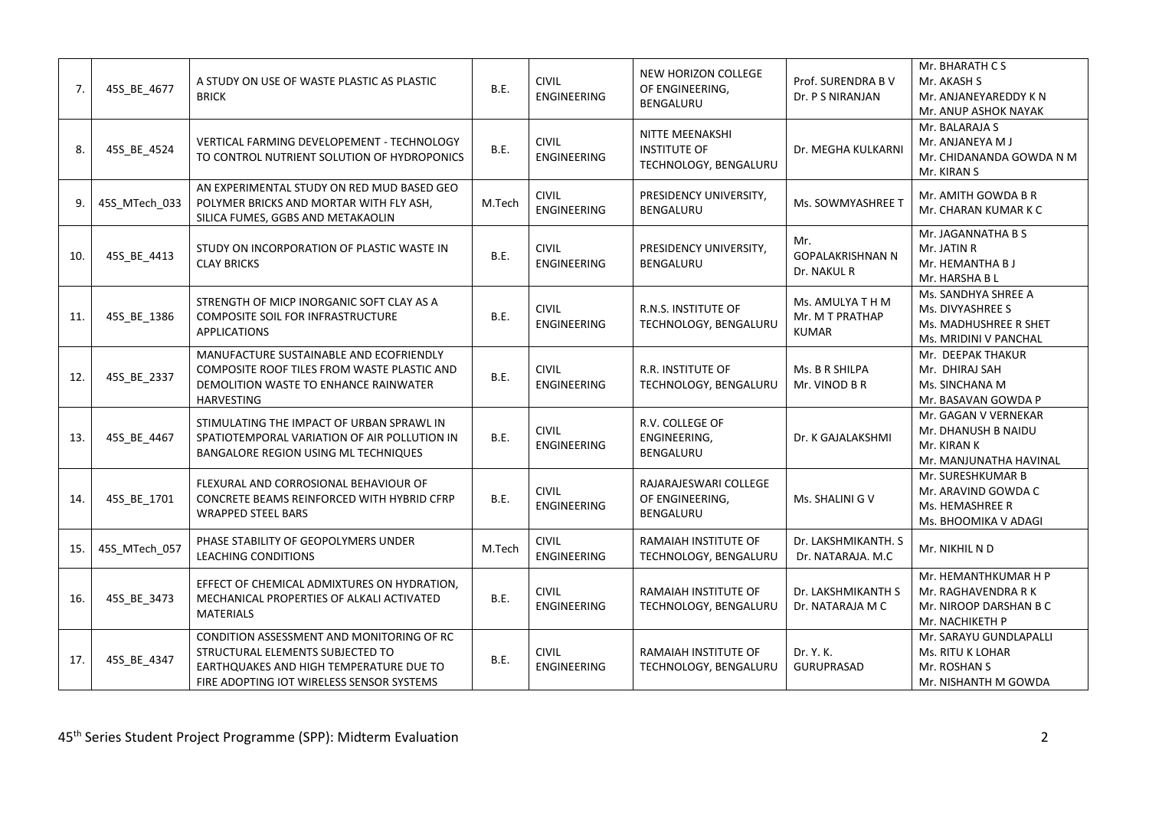| 7.  | 45S_BE_4677   | A STUDY ON USE OF WASTE PLASTIC AS PLASTIC<br><b>BRICK</b>                                                                                                            | B.E.        | <b>CIVIL</b><br><b>ENGINEERING</b> | NEW HORIZON COLLEGE<br>OF ENGINEERING,<br>BENGALURU             | Prof. SURENDRA B V<br>Dr. P S NIRANJAN              | Mr. BHARATH C S<br>Mr. AKASH S<br>Mr. ANJANEYAREDDY K N<br>Mr. ANUP ASHOK NAYAK           |
|-----|---------------|-----------------------------------------------------------------------------------------------------------------------------------------------------------------------|-------------|------------------------------------|-----------------------------------------------------------------|-----------------------------------------------------|-------------------------------------------------------------------------------------------|
| 8.  | 45S_BE_4524   | VERTICAL FARMING DEVELOPEMENT - TECHNOLOGY<br>TO CONTROL NUTRIENT SOLUTION OF HYDROPONICS                                                                             | <b>B.E.</b> | <b>CIVIL</b><br><b>ENGINEERING</b> | NITTE MEENAKSHI<br><b>INSTITUTE OF</b><br>TECHNOLOGY, BENGALURU | Dr. MEGHA KULKARNI                                  | Mr. BALARAJA S<br>Mr. ANJANEYA M J<br>Mr. CHIDANANDA GOWDA N M<br>Mr. KIRAN S             |
| 9.  | 45S_MTech_033 | AN EXPERIMENTAL STUDY ON RED MUD BASED GEO<br>POLYMER BRICKS AND MORTAR WITH FLY ASH,<br>SILICA FUMES, GGBS AND METAKAOLIN                                            | M.Tech      | <b>CIVIL</b><br><b>ENGINEERING</b> | PRESIDENCY UNIVERSITY,<br><b>BENGALURU</b>                      | Ms. SOWMYASHREE T                                   | Mr. AMITH GOWDA B R<br>Mr. CHARAN KUMAR K C                                               |
| 10. | 45S BE 4413   | STUDY ON INCORPORATION OF PLASTIC WASTE IN<br><b>CLAY BRICKS</b>                                                                                                      | B.E.        | <b>CIVIL</b><br>ENGINEERING        | PRESIDENCY UNIVERSITY,<br>BENGALURU                             | Mr.<br><b>GOPALAKRISHNAN N</b><br>Dr. NAKUL R       | Mr. JAGANNATHA B S<br>Mr. JATIN R<br>Mr. HEMANTHA B J<br>Mr. HARSHA B L                   |
| 11. | 45S_BE_1386   | STRENGTH OF MICP INORGANIC SOFT CLAY AS A<br>COMPOSITE SOIL FOR INFRASTRUCTURE<br><b>APPLICATIONS</b>                                                                 | B.E.        | <b>CIVIL</b><br><b>ENGINEERING</b> | R.N.S. INSTITUTE OF<br>TECHNOLOGY, BENGALURU                    | Ms. AMULYA T H M<br>Mr. M T PRATHAP<br><b>KUMAR</b> | Ms. SANDHYA SHREE A<br>Ms. DIVYASHREE S<br>Ms. MADHUSHREE R SHET<br>Ms. MRIDINI V PANCHAL |
| 12. | 45S_BE_2337   | MANUFACTURE SUSTAINABLE AND ECOFRIENDLY<br>COMPOSITE ROOF TILES FROM WASTE PLASTIC AND<br>DEMOLITION WASTE TO ENHANCE RAINWATER<br><b>HARVESTING</b>                  | <b>B.E.</b> | <b>CIVIL</b><br><b>ENGINEERING</b> | <b>R.R. INSTITUTE OF</b><br>TECHNOLOGY, BENGALURU               | Ms. B R SHILPA<br>Mr. VINOD B R                     | Mr. DEEPAK THAKUR<br>Mr. DHIRAJ SAH<br>Ms. SINCHANA M<br>Mr. BASAVAN GOWDA P              |
| 13. | 45S_BE_4467   | STIMULATING THE IMPACT OF URBAN SPRAWL IN<br>SPATIOTEMPORAL VARIATION OF AIR POLLUTION IN<br><b>BANGALORE REGION USING ML TECHNIQUES</b>                              | B.E.        | <b>CIVIL</b><br><b>ENGINEERING</b> | R.V. COLLEGE OF<br>ENGINEERING,<br>BENGALURU                    | Dr. K GAJALAKSHMI                                   | Mr. GAGAN V VERNEKAR<br>Mr. DHANUSH B NAIDU<br>Mr. KIRAN K<br>Mr. MANJUNATHA HAVINAL      |
| 14. | 45S BE 1701   | FLEXURAL AND CORROSIONAL BEHAVIOUR OF<br>CONCRETE BEAMS REINFORCED WITH HYBRID CFRP<br><b>WRAPPED STEEL BARS</b>                                                      | B.E.        | <b>CIVIL</b><br><b>ENGINEERING</b> | RAJARAJESWARI COLLEGE<br>OF ENGINEERING,<br>BENGALURU           | Ms. SHALINI G V                                     | Mr. SURESHKUMAR B<br>Mr. ARAVIND GOWDA C<br>Ms. HEMASHREE R<br>Ms. BHOOMIKA V ADAGI       |
| 15. | 45S_MTech_057 | PHASE STABILITY OF GEOPOLYMERS UNDER<br><b>LEACHING CONDITIONS</b>                                                                                                    | M.Tech      | <b>CIVIL</b><br>ENGINEERING        | RAMAIAH INSTITUTE OF<br>TECHNOLOGY, BENGALURU                   | Dr. LAKSHMIKANTH. S<br>Dr. NATARAJA. M.C            | Mr. NIKHIL N D                                                                            |
| 16. | 45S_BE_3473   | EFFECT OF CHEMICAL ADMIXTURES ON HYDRATION,<br>MECHANICAL PROPERTIES OF ALKALI ACTIVATED<br><b>MATERIALS</b>                                                          | <b>B.E.</b> | <b>CIVIL</b><br>ENGINEERING        | RAMAIAH INSTITUTE OF<br>TECHNOLOGY, BENGALURU                   | Dr. LAKSHMIKANTH S<br>Dr. NATARAJA M C              | Mr. HEMANTHKUMAR H P<br>Mr. RAGHAVENDRA R K<br>Mr. NIROOP DARSHAN B C<br>Mr. NACHIKETH P  |
| 17. | 45S_BE_4347   | CONDITION ASSESSMENT AND MONITORING OF RC<br>STRUCTURAL ELEMENTS SUBJECTED TO<br>EARTHQUAKES AND HIGH TEMPERATURE DUE TO<br>FIRE ADOPTING IOT WIRELESS SENSOR SYSTEMS | B.E.        | <b>CIVIL</b><br><b>ENGINEERING</b> | RAMAIAH INSTITUTE OF<br>TECHNOLOGY, BENGALURU                   | Dr. Y. K.<br><b>GURUPRASAD</b>                      | Mr. SARAYU GUNDLAPALLI<br>Ms. RITU K LOHAR<br>Mr. ROSHAN S<br>Mr. NISHANTH M GOWDA        |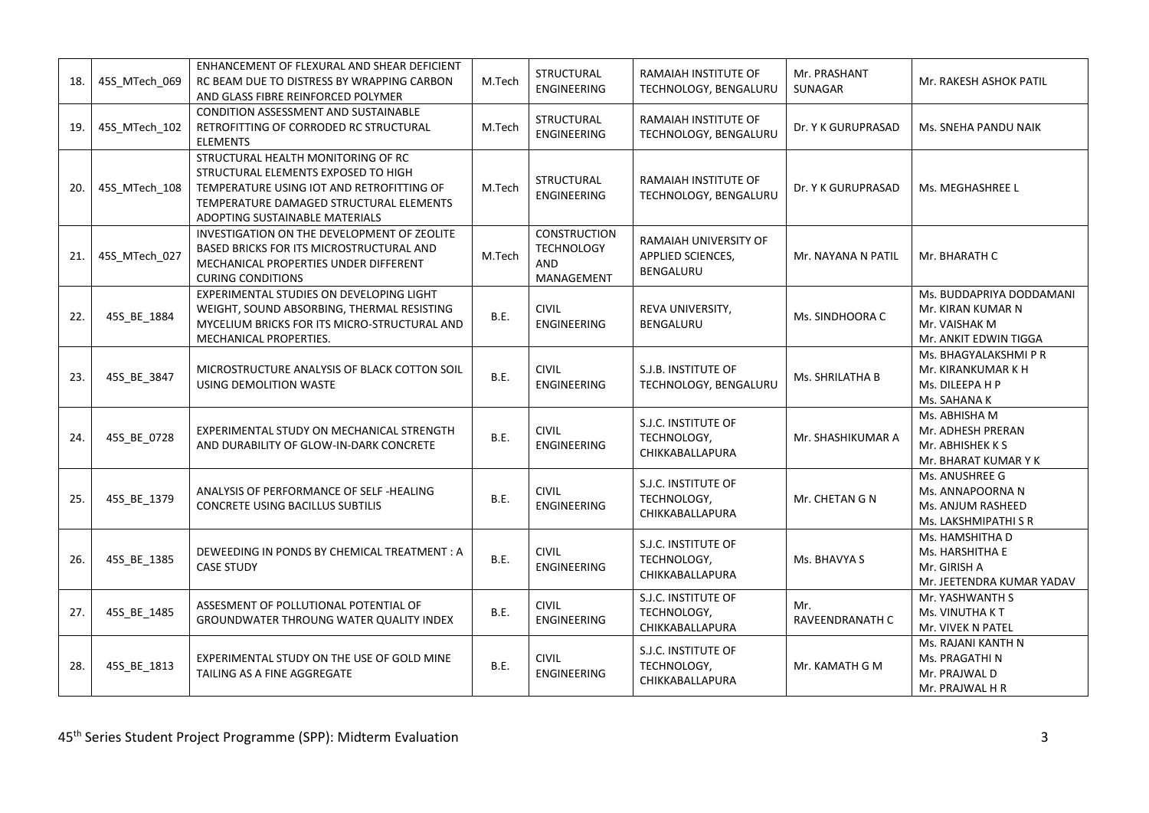| 18. | 45S MTech 069 | ENHANCEMENT OF FLEXURAL AND SHEAR DEFICIENT<br>RC BEAM DUE TO DISTRESS BY WRAPPING CARBON<br>AND GLASS FIBRE REINFORCED POLYMER                                                                     | M.Tech | STRUCTURAL<br>ENGINEERING                                     | RAMAIAH INSTITUTE OF<br>TECHNOLOGY, BENGALURU           | Mr. PRASHANT<br>SUNAGAR | Mr. RAKESH ASHOK PATIL                                                                  |
|-----|---------------|-----------------------------------------------------------------------------------------------------------------------------------------------------------------------------------------------------|--------|---------------------------------------------------------------|---------------------------------------------------------|-------------------------|-----------------------------------------------------------------------------------------|
| 19. | 45S_MTech_102 | <b>CONDITION ASSESSMENT AND SUSTAINABLE</b><br>RETROFITTING OF CORRODED RC STRUCTURAL<br><b>ELEMENTS</b>                                                                                            | M.Tech | <b>STRUCTURAL</b><br>ENGINEERING                              | RAMAIAH INSTITUTE OF<br>TECHNOLOGY, BENGALURU           | Dr. Y K GURUPRASAD      | Ms. SNEHA PANDU NAIK                                                                    |
| 20. | 45S_MTech_108 | STRUCTURAL HEALTH MONITORING OF RC<br>STRUCTURAL ELEMENTS EXPOSED TO HIGH<br>TEMPERATURE USING IOT AND RETROFITTING OF<br>TEMPERATURE DAMAGED STRUCTURAL ELEMENTS<br>ADOPTING SUSTAINABLE MATERIALS | M.Tech | STRUCTURAL<br><b>ENGINEERING</b>                              | RAMAIAH INSTITUTE OF<br>TECHNOLOGY, BENGALURU           | Dr. Y K GURUPRASAD      | Ms. MEGHASHREE L                                                                        |
| 21. | 45S MTech 027 | INVESTIGATION ON THE DEVELOPMENT OF ZEOLITE<br>BASED BRICKS FOR ITS MICROSTRUCTURAL AND<br>MECHANICAL PROPERTIES UNDER DIFFERENT<br><b>CURING CONDITIONS</b>                                        | M.Tech | <b>CONSTRUCTION</b><br><b>TECHNOLOGY</b><br>AND<br>MANAGEMENT | RAMAIAH UNIVERSITY OF<br>APPLIED SCIENCES,<br>BENGALURU | Mr. NAYANA N PATIL      | Mr. BHARATH C                                                                           |
| 22. | 45S_BE_1884   | EXPERIMENTAL STUDIES ON DEVELOPING LIGHT<br>WEIGHT, SOUND ABSORBING, THERMAL RESISTING<br>MYCELIUM BRICKS FOR ITS MICRO-STRUCTURAL AND<br>MECHANICAL PROPERTIES.                                    | B.E.   | <b>CIVIL</b><br><b>ENGINEERING</b>                            | REVA UNIVERSITY,<br><b>BENGALURU</b>                    | Ms. SINDHOORA C         | Ms. BUDDAPRIYA DODDAMANI<br>Mr. KIRAN KUMAR N<br>Mr. VAISHAK M<br>Mr. ANKIT EDWIN TIGGA |
| 23. | 45S_BE_3847   | MICROSTRUCTURE ANALYSIS OF BLACK COTTON SOIL<br>USING DEMOLITION WASTE                                                                                                                              | B.E.   | <b>CIVIL</b><br><b>ENGINEERING</b>                            | S.J.B. INSTITUTE OF<br>TECHNOLOGY, BENGALURU            | Ms. SHRILATHA B         | Ms. BHAGYALAKSHMI P R<br>Mr. KIRANKUMAR K H<br>Ms. DILEEPA H P<br>Ms. SAHANA K          |
| 24. | 45S BE 0728   | EXPERIMENTAL STUDY ON MECHANICAL STRENGTH<br>AND DURABILITY OF GLOW-IN-DARK CONCRETE                                                                                                                | B.E.   | <b>CIVIL</b><br><b>ENGINEERING</b>                            | S.J.C. INSTITUTE OF<br>TECHNOLOGY,<br>CHIKKABALLAPURA   | Mr. SHASHIKUMAR A       | Ms. ABHISHA M<br>Mr. ADHESH PRERAN<br>Mr. ABHISHEK K S<br>Mr. BHARAT KUMAR Y K          |
| 25. | 45S BE 1379   | ANALYSIS OF PERFORMANCE OF SELF -HEALING<br><b>CONCRETE USING BACILLUS SUBTILIS</b>                                                                                                                 | B.E.   | <b>CIVIL</b><br>ENGINEERING                                   | S.J.C. INSTITUTE OF<br>TECHNOLOGY,<br>CHIKKABALLAPURA   | Mr. CHETAN G N          | Ms. ANUSHREE G<br>Ms. ANNAPOORNA N<br>Ms. ANJUM RASHEED<br>Ms. LAKSHMIPATHI S R         |
| 26. | 45S_BE_1385   | DEWEEDING IN PONDS BY CHEMICAL TREATMENT : A<br><b>CASE STUDY</b>                                                                                                                                   | B.E.   | <b>CIVIL</b><br><b>ENGINEERING</b>                            | S.J.C. INSTITUTE OF<br>TECHNOLOGY,<br>CHIKKABALLAPURA   | Ms. BHAVYA S            | Ms. HAMSHITHA D<br>Ms. HARSHITHA E<br>Mr. GIRISH A<br>Mr. JEETENDRA KUMAR YADAV         |
| 27. | 45S BE 1485   | ASSESMENT OF POLLUTIONAL POTENTIAL OF<br>GROUNDWATER THROUNG WATER QUALITY INDEX                                                                                                                    | B.E.   | <b>CIVIL</b><br><b>ENGINEERING</b>                            | S.J.C. INSTITUTE OF<br>TECHNOLOGY,<br>CHIKKABALLAPURA   | Mr.<br>RAVEENDRANATH C  | Mr. YASHWANTH S<br>Ms. VINUTHA KT<br>Mr. VIVEK N PATEL                                  |
| 28. | 45S_BE_1813   | EXPERIMENTAL STUDY ON THE USE OF GOLD MINE<br>TAILING AS A FINE AGGREGATE                                                                                                                           | B.E.   | <b>CIVIL</b><br><b>ENGINEERING</b>                            | S.J.C. INSTITUTE OF<br>TECHNOLOGY,<br>CHIKKABALLAPURA   | Mr. KAMATH G M          | Ms. RAJANI KANTH N<br>Ms. PRAGATHI N<br>Mr. PRAJWAL D<br>Mr. PRAJWAL H R                |